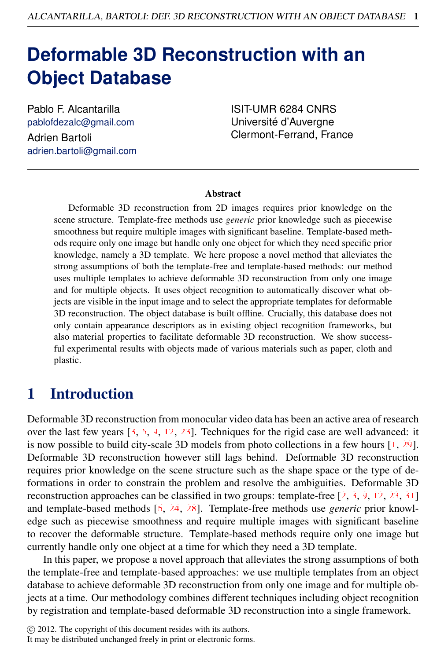# **Deformable 3D Reconstruction with an Object Database**

Pablo F. Alcantarilla pablofdezalc@gmail.com Adrien Bartoli adrien.bartoli@gmail.com

ISIT-UMR 6284 CNRS Université d'Auvergne Clermont-Ferrand, France

### Abstract

Deformable 3D reconstruction from 2D images requires prior knowledge on the scene structure. Template-free methods use *generic* prior knowledge such as piecewise smoothness but require multiple images with significant baseline. Template-based methods require only one image but handle only one object for which they need specific prior knowledge, namely a 3D template. We here propose a novel method that alleviates the strong assumptions of both the template-free and template-based methods: our method uses multiple templates to achieve deformable 3D reconstruction from only one image and for multiple objects. It uses object recognition to automatically discover what objects are visible in the input image and to select the appropriate templates for deformable 3D reconstruction. The object database is built offline. Crucially, this database does not only contain appearance descriptors as in existing object recognition frameworks, but also material properties to facilitate deformable 3D reconstruction. We show successful experimental results with objects made of various materials such as paper, cloth and plastic.

## 1 Introduction

Deformable 3D reconstruction from monocular video data has been an active area of research over the last few years  $[3, 6, 9, 12, 23]$ . Techniques for the rigid case are well advanced: it is now possible to build city-scale 3D models from photo collections in a few hours [1, 29]. Deformable 3D reconstruction however still lags behind. Deformable 3D reconstruction requires prior knowledge on the scene structure such as the shape space or the type of deformations in order to constrain the problem and resolve the ambiguities. Deformable 3D reconstruction approaches can be classified in two groups: template-free  $\left[2, 3, 9, 12, 23, 31\right]$ and template-based methods [6, 24, 28]. Template-free methods use *generic* prior knowledge such as piecewise smoothness and require multiple images with significant baseline to recover the deformable structure. Template-based methods require only one image but currently handle only one object at a time for which they need a 3D template.

In this paper, we propose a novel approach that alleviates the strong assumptions of both the template-free and template-based approaches: we use multiple templates from an object database to achieve deformable 3D reconstruction from only one image and for multiple objects at a time. Our methodology combines different techniques including object recognition by registration and template-based deformable 3D reconstruction into a single framework.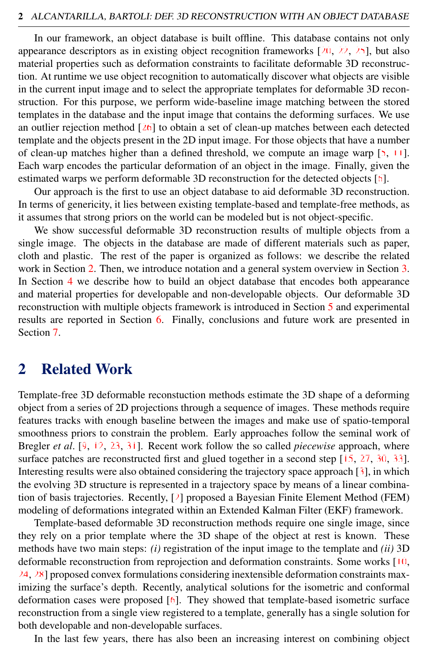In our framework, an object database is built offline. This database contains not only appearance descriptors as in existing object recognition frameworks  $[20, 22, 25]$ , but also material properties such as deformation constraints to facilitate deformable 3D reconstruction. At runtime we use object recognition to automatically discover what objects are visible in the current input image and to select the appropriate templates for deformable 3D reconstruction. For this purpose, we perform wide-baseline image matching between the stored templates in the database and the input image that contains the deforming surfaces. We use an outlier rejection method  $[26]$  to obtain a set of clean-up matches between each detected template and the objects present in the 2D input image. For those objects that have a number of clean-up matches higher than a defined threshold, we compute an image warp  $[5, 11]$ . Each warp encodes the particular deformation of an object in the image. Finally, given the estimated warps we perform deformable 3D reconstruction for the detected objects [6].

Our approach is the first to use an object database to aid deformable 3D reconstruction. In terms of genericity, it lies between existing template-based and template-free methods, as it assumes that strong priors on the world can be modeled but is not object-specific.

We show successful deformable 3D reconstruction results of multiple objects from a single image. The objects in the database are made of different materials such as paper, cloth and plastic. The rest of the paper is organized as follows: we describe the related work in Section [2.](#page-1-0) Then, we introduce notation and a general system overview in Section [3.](#page-2-0) In Section [4](#page-2-1) we describe how to build an object database that encodes both appearance and material properties for developable and non-developable objects. Our deformable 3D reconstruction with multiple objects framework is introduced in Section [5](#page-4-0) and experimental results are reported in Section [6.](#page-7-0) Finally, conclusions and future work are presented in Section [7.](#page-8-0)

## <span id="page-1-0"></span>2 Related Work

Template-free 3D deformable reconstuction methods estimate the 3D shape of a deforming object from a series of 2D projections through a sequence of images. These methods require features tracks with enough baseline between the images and make use of spatio-temporal smoothness priors to constrain the problem. Early approaches follow the seminal work of Bregler *et al*. [9, 12, 23, 31]. Recent work follow the so called *piecewise* approach, where surface patches are reconstructed first and glued together in a second step [15, 27, 30, 33]. Interesting results were also obtained considering the trajectory space approach  $\lceil 3 \rceil$ , in which the evolving 3D structure is represented in a trajectory space by means of a linear combination of basis trajectories. Recently, [2] proposed a Bayesian Finite Element Method (FEM) modeling of deformations integrated within an Extended Kalman Filter (EKF) framework.

Template-based deformable 3D reconstruction methods require one single image, since they rely on a prior template where the 3D shape of the object at rest is known. These methods have two main steps: *(i)* registration of the input image to the template and *(ii)* 3D deformable reconstruction from reprojection and deformation constraints. Some works [10,  $24, 28$ ] proposed convex formulations considering inextensible deformation constraints maximizing the surface's depth. Recently, analytical solutions for the isometric and conformal deformation cases were proposed  $[6]$ . They showed that template-based isometric surface reconstruction from a single view registered to a template, generally has a single solution for both developable and non-developable surfaces.

In the last few years, there has also been an increasing interest on combining object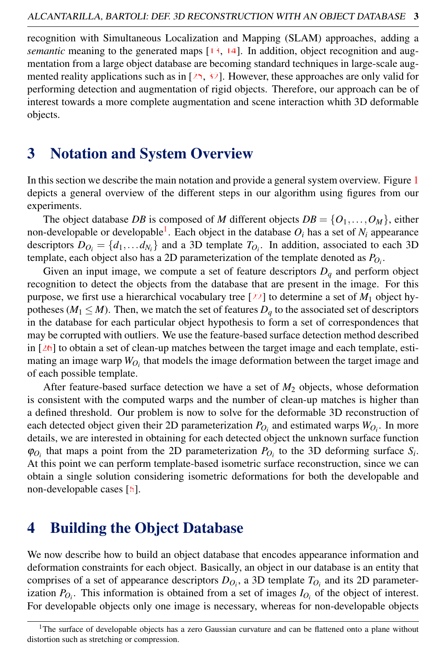recognition with Simultaneous Localization and Mapping (SLAM) approaches, adding a *semantic* meaning to the generated maps [13, 14]. In addition, object recognition and augmentation from a large object database are becoming standard techniques in large-scale augmented reality applications such as in  $[25, 32]$ . However, these approaches are only valid for performing detection and augmentation of rigid objects. Therefore, our approach can be of interest towards a more complete augmentation and scene interaction whith 3D deformable objects.

# <span id="page-2-0"></span>3 Notation and System Overview

In this section we describe the main notation and provide a general system overview. Figure [1](#page-3-0) depicts a general overview of the different steps in our algorithm using figures from our experiments.

The object database *DB* is composed of *M* different objects  $DB = \{O_1, \ldots, O_M\}$ , either non-developable or developable<sup>[1](#page-2-2)</sup>. Each object in the database  $O_i$  has a set of  $N_i$  appearance descriptors  $D_{O_i} = \{d_1, \ldots d_{N_i}\}\$  and a 3D template  $T_{O_i}$ . In addition, associated to each 3D template, each object also has a 2D parameterization of the template denoted as *PO<sup>i</sup>* .

Given an input image, we compute a set of feature descriptors  $D_q$  and perform object recognition to detect the objects from the database that are present in the image. For this purpose, we first use a hierarchical vocabulary tree  $[22]$  to determine a set of  $M_1$  object hypotheses ( $M_1 \leq M$ ). Then, we match the set of features  $D_q$  to the associated set of descriptors in the database for each particular object hypothesis to form a set of correspondences that may be corrupted with outliers. We use the feature-based surface detection method described in  $[26]$  to obtain a set of clean-up matches between the target image and each template, estimating an image warp  $W_{O_i}$  that models the image deformation between the target image and of each possible template.

After feature-based surface detection we have a set of *M*<sup>2</sup> objects, whose deformation is consistent with the computed warps and the number of clean-up matches is higher than a defined threshold. Our problem is now to solve for the deformable 3D reconstruction of each detected object given their 2D parameterization  $P_{O_i}$  and estimated warps  $W_{O_i}$ . In more details, we are interested in obtaining for each detected object the unknown surface function  $\varphi_{O_i}$  that maps a point from the 2D parameterization  $P_{O_i}$  to the 3D deforming surface  $S_i$ . At this point we can perform template-based isometric surface reconstruction, since we can obtain a single solution considering isometric deformations for both the developable and non-developable cases [6].

# <span id="page-2-1"></span>4 Building the Object Database

We now describe how to build an object database that encodes appearance information and deformation constraints for each object. Basically, an object in our database is an entity that comprises of a set of appearance descriptors  $D_{O_i}$ , a 3D template  $T_{O_i}$  and its 2D parameterization  $P_{O_i}$ . This information is obtained from a set of images  $I_{O_i}$  of the object of interest. For developable objects only one image is necessary, whereas for non-developable objects

<span id="page-2-2"></span><sup>&</sup>lt;sup>1</sup>The surface of developable objects has a zero Gaussian curvature and can be flattened onto a plane without distortion such as stretching or compression.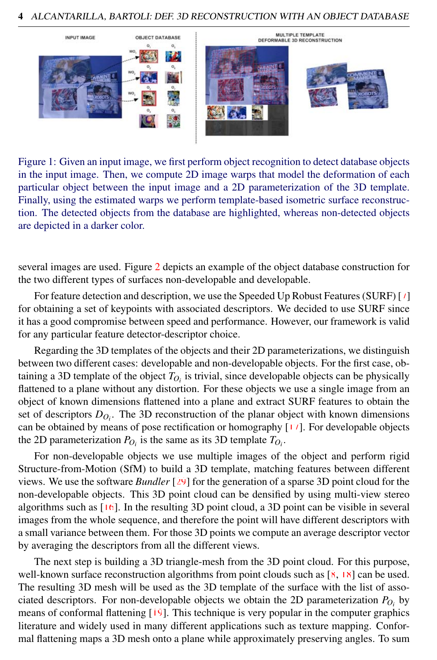

Figure 1: Given an input image, we first perform object recognition to detect database objects in the input image. Then, we compute 2D image warps that model the deformation of each particular object between the input image and a 2D parameterization of the 3D template. Finally, using the estimated warps we perform template-based isometric surface reconstruction. The detected objects from the database are highlighted, whereas non-detected objects are depicted in a darker color.

<span id="page-3-0"></span>several images are used. Figure [2](#page-4-1) depicts an example of the object database construction for the two different types of surfaces non-developable and developable.

For feature detection and description, we use the Speeded Up Robust Features (SURF) [7] for obtaining a set of keypoints with associated descriptors. We decided to use SURF since it has a good compromise between speed and performance. However, our framework is valid for any particular feature detector-descriptor choice.

Regarding the 3D templates of the objects and their 2D parameterizations, we distinguish between two different cases: developable and non-developable objects. For the first case, obtaining a 3D template of the object  $T_{O_i}$  is trivial, since developable objects can be physically flattened to a plane without any distortion. For these objects we use a single image from an object of known dimensions flattened into a plane and extract SURF features to obtain the set of descriptors *DO<sup>i</sup>* . The 3D reconstruction of the planar object with known dimensions can be obtained by means of pose rectification or homography [17]. For developable objects the 2D parameterization  $P_{O_i}$  is the same as its 3D template  $T_{O_i}$ .

For non-developable objects we use multiple images of the object and perform rigid Structure-from-Motion (SfM) to build a 3D template, matching features between different views. We use the software *Bundler* [29] for the generation of a sparse 3D point cloud for the non-developable objects. This 3D point cloud can be densified by using multi-view stereo algorithms such as  $[16]$ . In the resulting 3D point cloud, a 3D point can be visible in several images from the whole sequence, and therefore the point will have different descriptors with a small variance between them. For those 3D points we compute an average descriptor vector by averaging the descriptors from all the different views.

The next step is building a 3D triangle-mesh from the 3D point cloud. For this purpose, well-known surface reconstruction algorithms from point clouds such as  $[8, 18]$  can be used. The resulting 3D mesh will be used as the 3D template of the surface with the list of associated descriptors. For non-developable objects we obtain the 2D parameterization  $P_{O_i}$  by means of conformal flattening [19]. This technique is very popular in the computer graphics literature and widely used in many different applications such as texture mapping. Conformal flattening maps a 3D mesh onto a plane while approximately preserving angles. To sum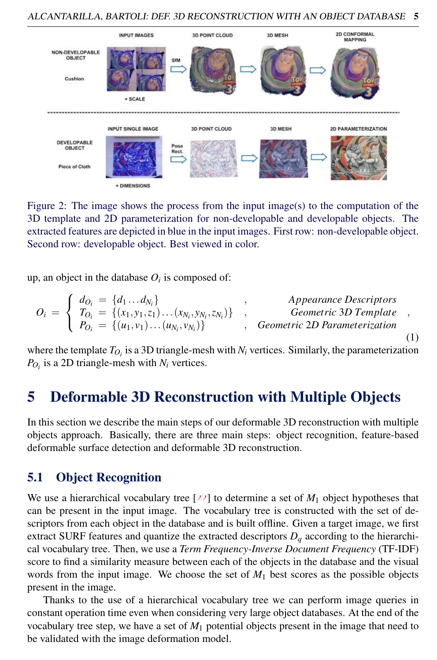

<span id="page-4-1"></span>Figure 2: The image shows the process from the input image(s) to the computation of the 3D template and 2D parameterization for non-developable and developable objects. The extracted features are depicted in blue in the input images. First row: non-developable object. Second row: developable object. Best viewed in color.

up, an object in the database  $O_i$  is composed of:

$$
O_i = \begin{cases} d_{O_i} = \{d_1 \dots d_{N_i}\} & , \text{ Appearance Descriptions} \\ T_{O_i} = \{(x_1, y_1, z_1) \dots (x_{N_i}, y_{N_i}, z_{N_i})\} & , \text{ Geometric 3D Template} \\ P_{O_i} = \{(u_1, v_1) \dots (u_{N_i}, v_{N_i})\} & , \text{ Geometric 2D Parameterization} \end{cases}
$$
(1)

where the template  $T_{O_i}$  is a 3D triangle-mesh with  $N_i$  vertices. Similarly, the parameterization  $P_{O_i}$  is a 2D triangle-mesh with  $N_i$  vertices.

# <span id="page-4-0"></span>5 Deformable 3D Reconstruction with Multiple Objects

In this section we describe the main steps of our deformable 3D reconstruction with multiple objects approach. Basically, there are three main steps: object recognition, feature-based deformable surface detection and deformable 3D reconstruction.

## 5.1 Object Recognition

We use a hierarchical vocabulary tree  $[22]$  to determine a set of  $M_1$  object hypotheses that can be present in the input image. The vocabulary tree is constructed with the set of descriptors from each object in the database and is built offline. Given a target image, we first extract SURF features and quantize the extracted descriptors  $D_q$  according to the hierarchical vocabulary tree. Then, we use a *Term Frequency-Inverse Document Frequency* (TF-IDF) score to find a similarity measure between each of the objects in the database and the visual words from the input image. We choose the set of  $M_1$  best scores as the possible objects present in the image.

Thanks to the use of a hierarchical vocabulary tree we can perform image queries in constant operation time even when considering very large object databases. At the end of the vocabulary tree step, we have a set of *M*<sup>1</sup> potential objects present in the image that need to be validated with the image deformation model.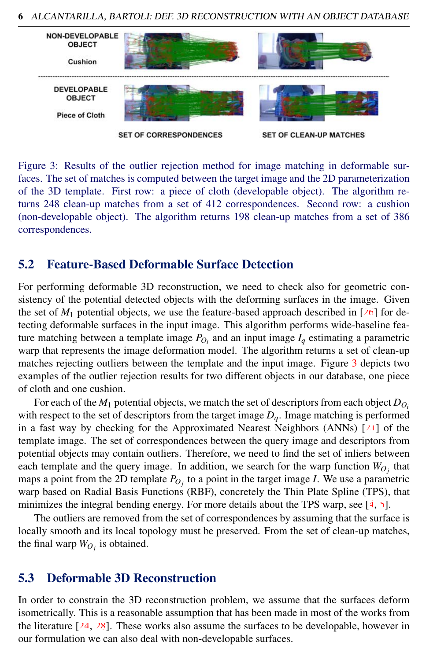

<span id="page-5-0"></span>Figure 3: Results of the outlier rejection method for image matching in deformable surfaces. The set of matches is computed between the target image and the 2D parameterization of the 3D template. First row: a piece of cloth (developable object). The algorithm returns 248 clean-up matches from a set of 412 correspondences. Second row: a cushion (non-developable object). The algorithm returns 198 clean-up matches from a set of 386 correspondences.

## 5.2 Feature-Based Deformable Surface Detection

For performing deformable 3D reconstruction, we need to check also for geometric consistency of the potential detected objects with the deforming surfaces in the image. Given the set of  $M_1$  potential objects, we use the feature-based approach described in [26] for detecting deformable surfaces in the input image. This algorithm performs wide-baseline feature matching between a template image  $P_{O_i}$  and an input image  $I_q$  estimating a parametric warp that represents the image deformation model. The algorithm returns a set of clean-up matches rejecting outliers between the template and the input image. Figure [3](#page-5-0) depicts two examples of the outlier rejection results for two different objects in our database, one piece of cloth and one cushion.

For each of the  $M_1$  potential objects, we match the set of descriptors from each object  $D_{O_i}$ with respect to the set of descriptors from the target image  $D_q$ . Image matching is performed in a fast way by checking for the Approximated Nearest Neighbors (ANNs) [21] of the template image. The set of correspondences between the query image and descriptors from potential objects may contain outliers. Therefore, we need to find the set of inliers between each template and the query image. In addition, we search for the warp function  $W_{O_j}$  that maps a point from the 2D template  $P_{O_j}$  to a point in the target image *I*. We use a parametric warp based on Radial Basis Functions (RBF), concretely the Thin Plate Spline (TPS), that minimizes the integral bending energy. For more details about the TPS warp, see [4, 5].

The outliers are removed from the set of correspondences by assuming that the surface is locally smooth and its local topology must be preserved. From the set of clean-up matches, the final warp  $W_{O_j}$  is obtained.

## 5.3 Deformable 3D Reconstruction

In order to constrain the 3D reconstruction problem, we assume that the surfaces deform isometrically. This is a reasonable assumption that has been made in most of the works from the literature  $[24, 28]$ . These works also assume the surfaces to be developable, however in our formulation we can also deal with non-developable surfaces.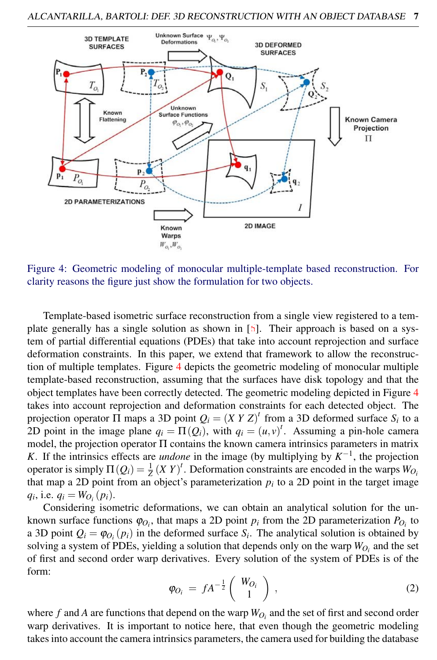

<span id="page-6-0"></span>Figure 4: Geometric modeling of monocular multiple-template based reconstruction. For clarity reasons the figure just show the formulation for two objects.

Template-based isometric surface reconstruction from a single view registered to a template generally has a single solution as shown in [6]. Their approach is based on a system of partial differential equations (PDEs) that take into account reprojection and surface deformation constraints. In this paper, we extend that framework to allow the reconstruction of multiple templates. Figure [4](#page-6-0) depicts the geometric modeling of monocular multiple template-based reconstruction, assuming that the surfaces have disk topology and that the object templates have been correctly detected. The geometric modeling depicted in Figure [4](#page-6-0) takes into account reprojection and deformation constraints for each detected object. The projection operator  $\Pi$  maps a 3D point  $Q_i = (X \ Y \ Z)^t$  from a 3D deformed surface  $S_i$  to a 2D point in the image plane  $q_i = \Pi(Q_i)$ , with  $q_i = (u, v)^t$ . Assuming a pin-hole camera model, the projection operator Π contains the known camera intrinsics parameters in matrix *K*. If the intrinsics effects are *undone* in the image (by multiplying by  $K^{-1}$ , the projection operator is simply  $\Pi(Q_i) = \frac{1}{Z}(XY)^t$ . Deformation constraints are encoded in the warps  $W_{O_i}$ that map a 2D point from an object's parameterization  $p_i$  to a 2D point in the target image  $q_i$ , i.e.  $q_i = W_{O_i}(p_i)$ .

Considering isometric deformations, we can obtain an analytical solution for the unknown surface functions  $\varphi_{O_i}$ , that maps a 2D point  $p_i$  from the 2D parameterization  $P_{O_i}$  to a 3D point  $Q_i = \varphi_{O_i}(p_i)$  in the deformed surface  $S_i$ . The analytical solution is obtained by solving a system of PDEs, yielding a solution that depends only on the warp  $W_{O_i}$  and the set of first and second order warp derivatives. Every solution of the system of PDEs is of the form:

$$
\varphi_{O_i} = f A^{-\frac{1}{2}} \left( \begin{array}{c} W_{O_i} \\ 1 \end{array} \right) , \qquad (2)
$$

where  $f$  and  $A$  are functions that depend on the warp  $W_{O_i}$  and the set of first and second order warp derivatives. It is important to notice here, that even though the geometric modeling takes into account the camera intrinsics parameters, the camera used for building the database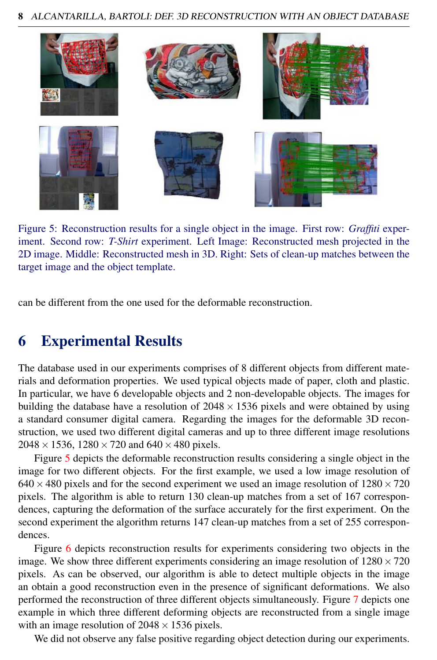

Figure 5: Reconstruction results for a single object in the image. First row: *Graffiti* experiment. Second row: *T-Shirt* experiment. Left Image: Reconstructed mesh projected in the 2D image. Middle: Reconstructed mesh in 3D. Right: Sets of clean-up matches between the target image and the object template.

<span id="page-7-1"></span>can be different from the one used for the deformable reconstruction.

## <span id="page-7-0"></span>6 Experimental Results

The database used in our experiments comprises of 8 different objects from different materials and deformation properties. We used typical objects made of paper, cloth and plastic. In particular, we have 6 developable objects and 2 non-developable objects. The images for building the database have a resolution of  $2048 \times 1536$  pixels and were obtained by using a standard consumer digital camera. Regarding the images for the deformable 3D reconstruction, we used two different digital cameras and up to three different image resolutions  $2048 \times 1536$ ,  $1280 \times 720$  and  $640 \times 480$  pixels.

Figure [5](#page-7-1) depicts the deformable reconstruction results considering a single object in the image for two different objects. For the first example, we used a low image resolution of  $640 \times 480$  pixels and for the second experiment we used an image resolution of  $1280 \times 720$ pixels. The algorithm is able to return 130 clean-up matches from a set of 167 correspondences, capturing the deformation of the surface accurately for the first experiment. On the second experiment the algorithm returns 147 clean-up matches from a set of 255 correspondences.

Figure [6](#page-8-1) depicts reconstruction results for experiments considering two objects in the image. We show three different experiments considering an image resolution of  $1280 \times 720$ pixels. As can be observed, our algorithm is able to detect multiple objects in the image an obtain a good reconstruction even in the presence of significant deformations. We also performed the reconstruction of three different objects simultaneously. Figure [7](#page-8-2) depicts one example in which three different deforming objects are reconstructed from a single image with an image resolution of  $2048 \times 1536$  pixels.

We did not observe any false positive regarding object detection during our experiments.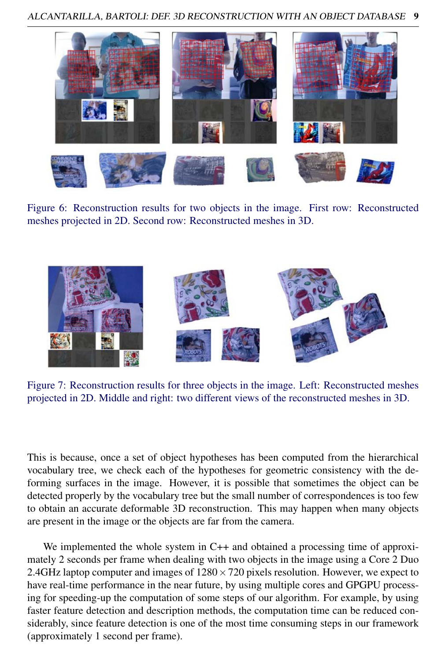

Figure 6: Reconstruction results for two objects in the image. First row: Reconstructed meshes projected in 2D. Second row: Reconstructed meshes in 3D.

<span id="page-8-1"></span>

Figure 7: Reconstruction results for three objects in the image. Left: Reconstructed meshes projected in 2D. Middle and right: two different views of the reconstructed meshes in 3D.

<span id="page-8-2"></span>This is because, once a set of object hypotheses has been computed from the hierarchical vocabulary tree, we check each of the hypotheses for geometric consistency with the deforming surfaces in the image. However, it is possible that sometimes the object can be detected properly by the vocabulary tree but the small number of correspondences is too few to obtain an accurate deformable 3D reconstruction. This may happen when many objects are present in the image or the objects are far from the camera.

<span id="page-8-0"></span>We implemented the whole system in C++ and obtained a processing time of approximately 2 seconds per frame when dealing with two objects in the image using a Core 2 Duo 2.4GHz laptop computer and images of  $1280 \times 720$  pixels resolution. However, we expect to have real-time performance in the near future, by using multiple cores and GPGPU processing for speeding-up the computation of some steps of our algorithm. For example, by using faster feature detection and description methods, the computation time can be reduced considerably, since feature detection is one of the most time consuming steps in our framework (approximately 1 second per frame).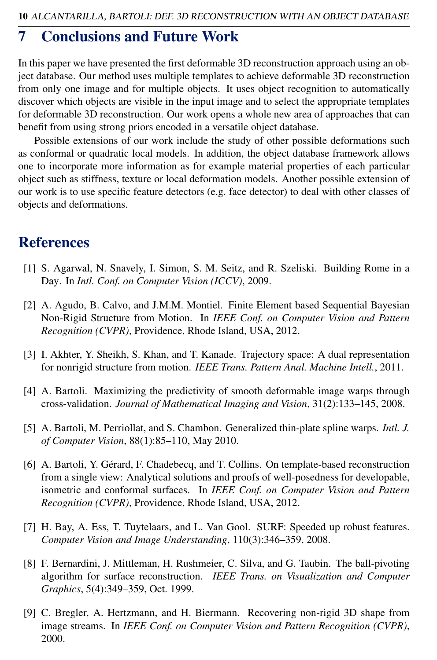## 7 Conclusions and Future Work

In this paper we have presented the first deformable 3D reconstruction approach using an object database. Our method uses multiple templates to achieve deformable 3D reconstruction from only one image and for multiple objects. It uses object recognition to automatically discover which objects are visible in the input image and to select the appropriate templates for deformable 3D reconstruction. Our work opens a whole new area of approaches that can benefit from using strong priors encoded in a versatile object database.

Possible extensions of our work include the study of other possible deformations such as conformal or quadratic local models. In addition, the object database framework allows one to incorporate more information as for example material properties of each particular object such as stiffness, texture or local deformation models. Another possible extension of our work is to use specific feature detectors (e.g. face detector) to deal with other classes of objects and deformations.

## **References**

- [1] S. Agarwal, N. Snavely, I. Simon, S. M. Seitz, and R. Szeliski. Building Rome in a Day. In *Intl. Conf. on Computer Vision (ICCV)*, 2009.
- [2] A. Agudo, B. Calvo, and J.M.M. Montiel. Finite Element based Sequential Bayesian Non-Rigid Structure from Motion. In *IEEE Conf. on Computer Vision and Pattern Recognition (CVPR)*, Providence, Rhode Island, USA, 2012.
- [3] I. Akhter, Y. Sheikh, S. Khan, and T. Kanade. Trajectory space: A dual representation for nonrigid structure from motion. *IEEE Trans. Pattern Anal. Machine Intell.*, 2011.
- [4] A. Bartoli. Maximizing the predictivity of smooth deformable image warps through cross-validation. *Journal of Mathematical Imaging and Vision*, 31(2):133–145, 2008.
- [5] A. Bartoli, M. Perriollat, and S. Chambon. Generalized thin-plate spline warps. *Intl. J. of Computer Vision*, 88(1):85–110, May 2010.
- [6] A. Bartoli, Y. Gérard, F. Chadebecq, and T. Collins. On template-based reconstruction from a single view: Analytical solutions and proofs of well-posedness for developable, isometric and conformal surfaces. In *IEEE Conf. on Computer Vision and Pattern Recognition (CVPR)*, Providence, Rhode Island, USA, 2012.
- [7] H. Bay, A. Ess, T. Tuytelaars, and L. Van Gool. SURF: Speeded up robust features. *Computer Vision and Image Understanding*, 110(3):346–359, 2008.
- [8] F. Bernardini, J. Mittleman, H. Rushmeier, C. Silva, and G. Taubin. The ball-pivoting algorithm for surface reconstruction. *IEEE Trans. on Visualization and Computer Graphics*, 5(4):349–359, Oct. 1999.
- [9] C. Bregler, A. Hertzmann, and H. Biermann. Recovering non-rigid 3D shape from image streams. In *IEEE Conf. on Computer Vision and Pattern Recognition (CVPR)*, 2000.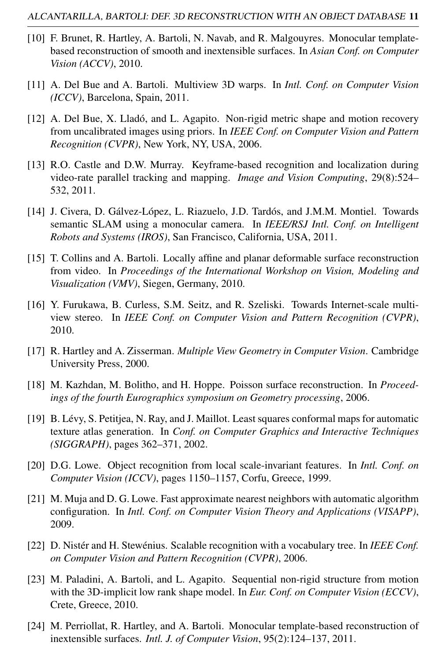- [10] F. Brunet, R. Hartley, A. Bartoli, N. Navab, and R. Malgouyres. Monocular templatebased reconstruction of smooth and inextensible surfaces. In *Asian Conf. on Computer Vision (ACCV)*, 2010.
- [11] A. Del Bue and A. Bartoli. Multiview 3D warps. In *Intl. Conf. on Computer Vision (ICCV)*, Barcelona, Spain, 2011.
- [12] A. Del Bue, X. Lladó, and L. Agapito. Non-rigid metric shape and motion recovery from uncalibrated images using priors. In *IEEE Conf. on Computer Vision and Pattern Recognition (CVPR)*, New York, NY, USA, 2006.
- [13] R.O. Castle and D.W. Murray. Keyframe-based recognition and localization during video-rate parallel tracking and mapping. *Image and Vision Computing*, 29(8):524– 532, 2011.
- [14] J. Civera, D. Gálvez-López, L. Riazuelo, J.D. Tardós, and J.M.M. Montiel. Towards semantic SLAM using a monocular camera. In *IEEE/RSJ Intl. Conf. on Intelligent Robots and Systems (IROS)*, San Francisco, California, USA, 2011.
- [15] T. Collins and A. Bartoli. Locally affine and planar deformable surface reconstruction from video. In *Proceedings of the International Workshop on Vision, Modeling and Visualization (VMV)*, Siegen, Germany, 2010.
- [16] Y. Furukawa, B. Curless, S.M. Seitz, and R. Szeliski. Towards Internet-scale multiview stereo. In *IEEE Conf. on Computer Vision and Pattern Recognition (CVPR)*, 2010.
- [17] R. Hartley and A. Zisserman. *Multiple View Geometry in Computer Vision*. Cambridge University Press, 2000.
- [18] M. Kazhdan, M. Bolitho, and H. Hoppe. Poisson surface reconstruction. In *Proceedings of the fourth Eurographics symposium on Geometry processing*, 2006.
- [19] B. Lévy, S. Petitjea, N. Ray, and J. Maillot. Least squares conformal maps for automatic texture atlas generation. In *Conf. on Computer Graphics and Interactive Techniques (SIGGRAPH)*, pages 362–371, 2002.
- [20] D.G. Lowe. Object recognition from local scale-invariant features. In *Intl. Conf. on Computer Vision (ICCV)*, pages 1150–1157, Corfu, Greece, 1999.
- [21] M. Muja and D. G. Lowe. Fast approximate nearest neighbors with automatic algorithm configuration. In *Intl. Conf. on Computer Vision Theory and Applications (VISAPP)*, 2009.
- [22] D. Nistér and H. Stewénius. Scalable recognition with a vocabulary tree. In *IEEE Conf. on Computer Vision and Pattern Recognition (CVPR)*, 2006.
- [23] M. Paladini, A. Bartoli, and L. Agapito. Sequential non-rigid structure from motion with the 3D-implicit low rank shape model. In *Eur. Conf. on Computer Vision (ECCV)*, Crete, Greece, 2010.
- [24] M. Perriollat, R. Hartley, and A. Bartoli. Monocular template-based reconstruction of inextensible surfaces. *Intl. J. of Computer Vision*, 95(2):124–137, 2011.